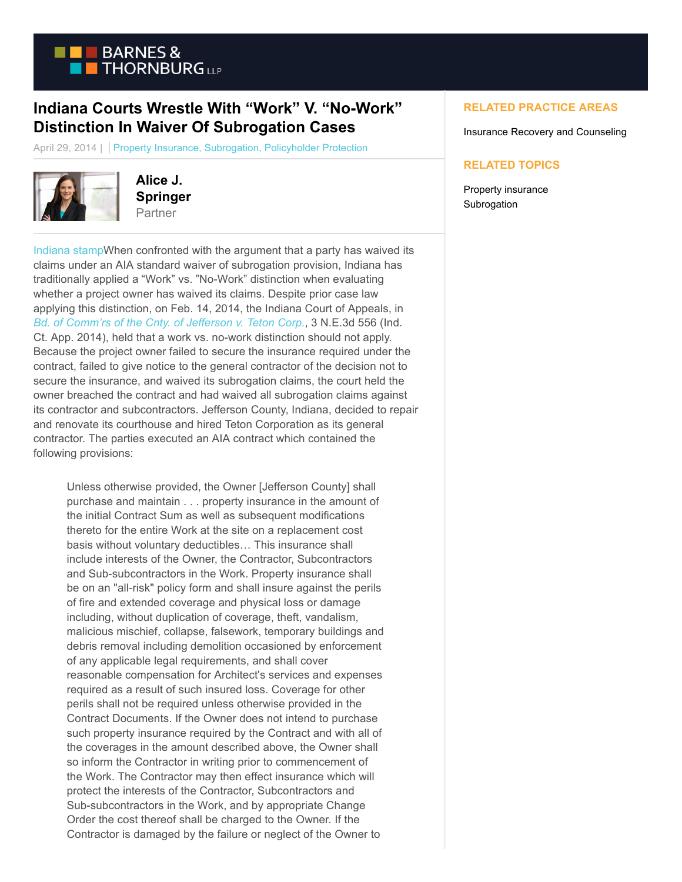

## **Indiana Courts Wrestle With "Work" V. "No-Work" Distinction In Waiver Of Subrogation Cases**

April 29, 2014 | Property Insurance, Subrogation, Policyholder Protection



**Alice J. Springer** Partner

[Indiana stampW](https://www.btpolicyholderprotection.com/wp-content/uploads/2014/04/Indiana.jpg)hen confronted with the argument that a party has waived its claims under an AIA standard waiver of subrogation provision, Indiana has traditionally applied a "Work" vs. "No-Work" distinction when evaluating whether a project owner has waived its claims. Despite prior case law applying this distinction, on Feb. 14, 2014, the Indiana Court of Appeals, in *[Bd. of Comm'rs of the Cnty. of Jefferson v. Teton Corp.](http://www.google.com/url?sa=t&rct=j&q=&esrc=s&frm=1&source=web&cd=1&cad=rja&uact=8&ved=0CCwQFjAA&url=http%3A%2F%2Fwww.courthousenews.com%2Fhome%2FOpenAppellateOpinion.aspx%3FOpinionStatusID%3D96186&ei=la1nU6fVNeTgyQH2kICoCQ&usg=AFQjCNHZttSpb6s-YOdyk7bmFczbg8KJqQ&sig2=fodUE0fnzbNsH6cT6EB3Kw&bvm=bv.65788261,d.aWc)*, 3 N.E.3d 556 (Ind. Ct. App. 2014), held that a work vs. no-work distinction should not apply. Because the project owner failed to secure the insurance required under the contract, failed to give notice to the general contractor of the decision not to secure the insurance, and waived its subrogation claims, the court held the owner breached the contract and had waived all subrogation claims against its contractor and subcontractors. Jefferson County, Indiana, decided to repair and renovate its courthouse and hired Teton Corporation as its general contractor. The parties executed an AIA contract which contained the following provisions:

Unless otherwise provided, the Owner [Jefferson County] shall purchase and maintain . . . property insurance in the amount of the initial Contract Sum as well as subsequent modifications thereto for the entire Work at the site on a replacement cost basis without voluntary deductibles… This insurance shall include interests of the Owner, the Contractor, Subcontractors and Sub-subcontractors in the Work. Property insurance shall be on an "all-risk" policy form and shall insure against the perils of fire and extended coverage and physical loss or damage including, without duplication of coverage, theft, vandalism, malicious mischief, collapse, falsework, temporary buildings and debris removal including demolition occasioned by enforcement of any applicable legal requirements, and shall cover reasonable compensation for Architect's services and expenses required as a result of such insured loss. Coverage for other perils shall not be required unless otherwise provided in the Contract Documents. If the Owner does not intend to purchase such property insurance required by the Contract and with all of the coverages in the amount described above, the Owner shall so inform the Contractor in writing prior to commencement of the Work. The Contractor may then effect insurance which will protect the interests of the Contractor, Subcontractors and Sub-subcontractors in the Work, and by appropriate Change Order the cost thereof shall be charged to the Owner. If the Contractor is damaged by the failure or neglect of the Owner to

## **RELATED PRACTICE AREAS**

Insurance Recovery and Counseling

## **RELATED TOPICS**

Property insurance **Subrogation**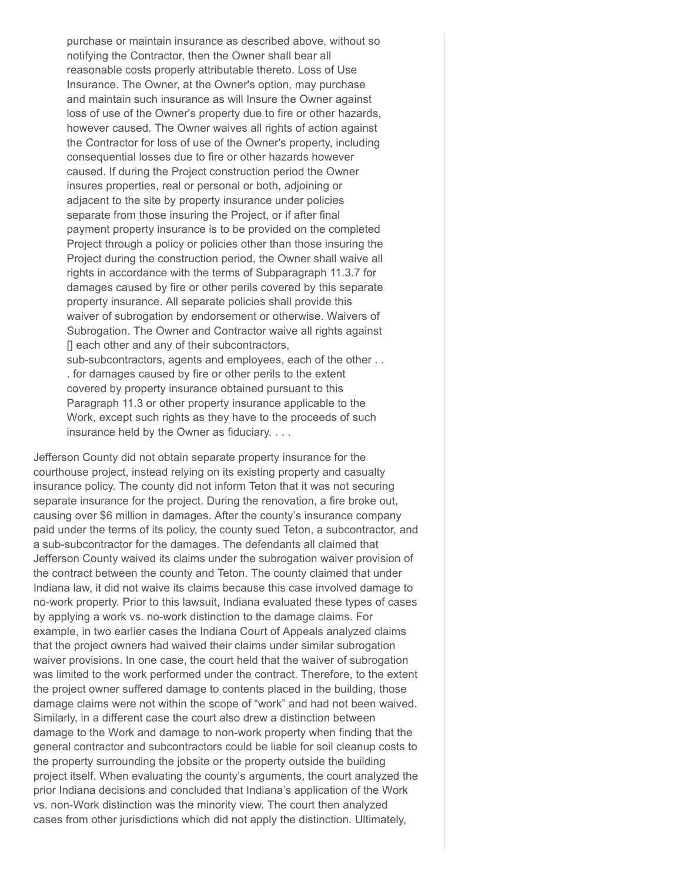purchase or maintain insurance as described above, without so notifying the Contractor, then the Owner shall bear all reasonable costs properly attributable thereto. Loss of Use Insurance. The Owner, at the Owner's option, may purchase and maintain such insurance as will Insure the Owner against loss of use of the Owner's property due to fire or other hazards, however caused. The Owner waives all rights of action against the Contractor for loss of use of the Owner's property, including consequential losses due to fire or other hazards however caused. If during the Project construction period the Owner insures properties, real or personal or both, adjoining or adjacent to the site by property insurance under policies separate from those insuring the Project, or if after final payment property insurance is to be provided on the completed Project through a policy or policies other than those insuring the Project during the construction period, the Owner shall waive all rights in accordance with the terms of Subparagraph 11.3.7 for damages caused by fire or other perils covered by this separate property insurance. All separate policies shall provide this waiver of subrogation by endorsement or otherwise. Waivers of Subrogation. The Owner and Contractor waive all rights against [] each other and any of their subcontractors, sub-subcontractors, agents and employees, each of the other . . . for damages caused by fire or other perils to the extent covered by property insurance obtained pursuant to this Paragraph 11.3 or other property insurance applicable to the Work, except such rights as they have to the proceeds of such insurance held by the Owner as fiduciary. . . .

Jefferson County did not obtain separate property insurance for the courthouse project, instead relying on its existing property and casualty insurance policy. The county did not inform Teton that it was not securing separate insurance for the project. During the renovation, a fire broke out, causing over \$6 million in damages. After the county's insurance company paid under the terms of its policy, the county sued Teton, a subcontractor, and a sub-subcontractor for the damages. The defendants all claimed that Jefferson County waived its claims under the subrogation waiver provision of the contract between the county and Teton. The county claimed that under Indiana law, it did not waive its claims because this case involved damage to no-work property. Prior to this lawsuit, Indiana evaluated these types of cases by applying a work vs. no-work distinction to the damage claims. For example, in two earlier cases the Indiana Court of Appeals analyzed claims that the project owners had waived their claims under similar subrogation waiver provisions. In one case, the court held that the waiver of subrogation was limited to the work performed under the contract. Therefore, to the extent the project owner suffered damage to contents placed in the building, those damage claims were not within the scope of "work" and had not been waived. Similarly, in a different case the court also drew a distinction between damage to the Work and damage to non-work property when finding that the general contractor and subcontractors could be liable for soil cleanup costs to the property surrounding the jobsite or the property outside the building project itself. When evaluating the county's arguments, the court analyzed the prior Indiana decisions and concluded that Indiana's application of the Work vs. non-Work distinction was the minority view. The court then analyzed cases from other jurisdictions which did not apply the distinction. Ultimately,